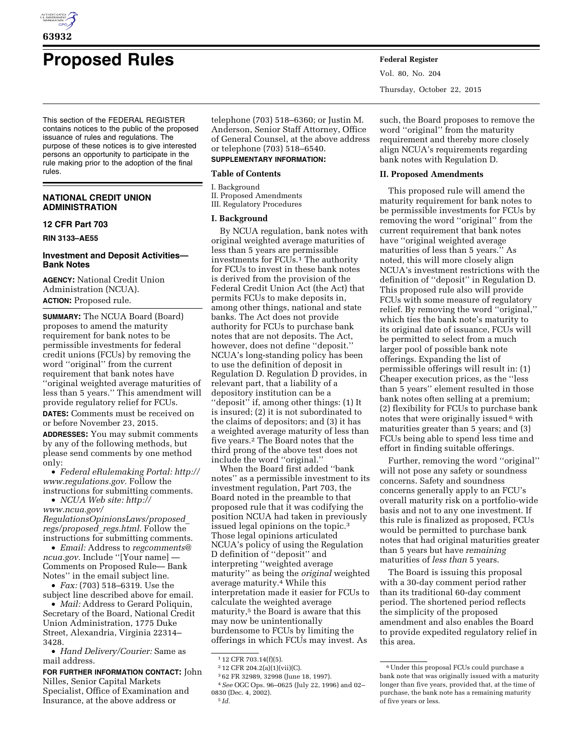

# **Proposed Rules Federal Register**

This section of the FEDERAL REGISTER contains notices to the public of the proposed issuance of rules and regulations. The purpose of these notices is to give interested persons an opportunity to participate in the rule making prior to the adoption of the final rules.

## **NATIONAL CREDIT UNION ADMINISTRATION**

## **12 CFR Part 703**

**RIN 3133–AE55** 

## **Investment and Deposit Activities— Bank Notes**

**AGENCY:** National Credit Union Administration (NCUA). **ACTION:** Proposed rule.

**SUMMARY:** The NCUA Board (Board) proposes to amend the maturity requirement for bank notes to be permissible investments for federal credit unions (FCUs) by removing the word ''original'' from the current requirement that bank notes have ''original weighted average maturities of less than 5 years.'' This amendment will provide regulatory relief for FCUs.

**DATES:** Comments must be received on or before November 23, 2015.

**ADDRESSES:** You may submit comments by any of the following methods, but please send comments by one method only:

• *Federal eRulemaking Portal: [http://](http://www.regulations.gov)  [www.regulations.gov.](http://www.regulations.gov)* Follow the instructions for submitting comments.

• *NCUA Web site: [http://](http://www.ncua.gov/RegulationsOpinionsLaws/proposed_regs/proposed_regs.html) [www.ncua.gov/](http://www.ncua.gov/RegulationsOpinionsLaws/proposed_regs/proposed_regs.html)*

*[RegulationsOpinionsLaws/proposed](http://www.ncua.gov/RegulationsOpinionsLaws/proposed_regs/proposed_regs.html)*\_ *[regs/proposed](http://www.ncua.gov/RegulationsOpinionsLaws/proposed_regs/proposed_regs.html)*\_*regs.html.* Follow the instructions for submitting comments.

• *Email:* Address to *[regcomments@](mailto:regcomments@ncua.gov) [ncua.gov.](mailto:regcomments@ncua.gov)* Include ''[Your name] — Comments on Proposed Rule— Bank Notes'' in the email subject line.

• *Fax:* (703) 518–6319. Use the subject line described above for email.

• *Mail:* Address to Gerard Poliquin, Secretary of the Board, National Credit Union Administration, 1775 Duke Street, Alexandria, Virginia 22314– 3428.

• *Hand Delivery/Courier:* Same as mail address.

## **FOR FURTHER INFORMATION CONTACT:** John Nilles, Senior Capital Markets Specialist, Office of Examination and Insurance, at the above address or

telephone (703) 518–6360; or Justin M. Anderson, Senior Staff Attorney, Office of General Counsel, at the above address or telephone (703) 518–6540.

## **SUPPLEMENTARY INFORMATION:**

## **Table of Contents**

I. Background II. Proposed Amendments

III. Regulatory Procedures

## **I. Background**

By NCUA regulation, bank notes with original weighted average maturities of less than 5 years are permissible investments for FCUs.1 The authority for FCUs to invest in these bank notes is derived from the provision of the Federal Credit Union Act (the Act) that permits FCUs to make deposits in, among other things, national and state banks. The Act does not provide authority for FCUs to purchase bank notes that are not deposits. The Act, however, does not define ''deposit.'' NCUA's long-standing policy has been to use the definition of deposit in Regulation D. Regulation D provides, in relevant part, that a liability of a depository institution can be a "deposit" if, among other things: (1) It is insured; (2) it is not subordinated to the claims of depositors; and (3) it has a weighted average maturity of less than five years.2 The Board notes that the third prong of the above test does not include the word ''original.''

When the Board first added ''bank notes'' as a permissible investment to its investment regulation, Part 703, the Board noted in the preamble to that proposed rule that it was codifying the position NCUA had taken in previously issued legal opinions on the topic.3 Those legal opinions articulated NCUA's policy of using the Regulation D definition of ''deposit'' and interpreting ''weighted average maturity'' as being the *original* weighted average maturity.4 While this interpretation made it easier for FCUs to calculate the weighted average maturity,<sup>5</sup> the Board is aware that this may now be unintentionally burdensome to FCUs by limiting the offerings in which FCUs may invest. As

Vol. 80, No. 204 Thursday, October 22, 2015

such, the Board proposes to remove the word ''original'' from the maturity requirement and thereby more closely align NCUA's requirements regarding bank notes with Regulation D.

#### **II. Proposed Amendments**

This proposed rule will amend the maturity requirement for bank notes to be permissible investments for FCUs by removing the word ''original'' from the current requirement that bank notes have ''original weighted average maturities of less than 5 years.'' As noted, this will more closely align NCUA's investment restrictions with the definition of ''deposit'' in Regulation D. This proposed rule also will provide FCUs with some measure of regulatory relief. By removing the word ''original,'' which ties the bank note's maturity to its original date of issuance, FCUs will be permitted to select from a much larger pool of possible bank note offerings. Expanding the list of permissible offerings will result in: (1) Cheaper execution prices, as the ''less than 5 years'' element resulted in those bank notes often selling at a premium; (2) flexibility for FCUs to purchase bank notes that were originally issued  $6$  with maturities greater than 5 years; and (3) FCUs being able to spend less time and effort in finding suitable offerings.

Further, removing the word ''original'' will not pose any safety or soundness concerns. Safety and soundness concerns generally apply to an FCU's overall maturity risk on a portfolio-wide basis and not to any one investment. If this rule is finalized as proposed, FCUs would be permitted to purchase bank notes that had original maturities greater than 5 years but have *remaining*  maturities of *less than* 5 years.

The Board is issuing this proposal with a 30-day comment period rather than its traditional 60-day comment period. The shortened period reflects the simplicity of the proposed amendment and also enables the Board to provide expedited regulatory relief in this area.

<sup>1</sup> 12 CFR 703.14(f)(5).

<sup>2</sup> 12 CFR 204.2(a)(1)(vii)(C).

<sup>3</sup> 62 FR 32989, 32998 (June 18, 1997). 4*See* OGC Ops. 96–0625 (July 22, 1996) and 02– 0830 (Dec. 4, 2002). 5 *Id.* 

<sup>6</sup>Under this proposal FCUs could purchase a bank note that was originally issued with a maturity longer than five years, provided that, at the time of purchase, the bank note has a remaining maturity of five years or less.